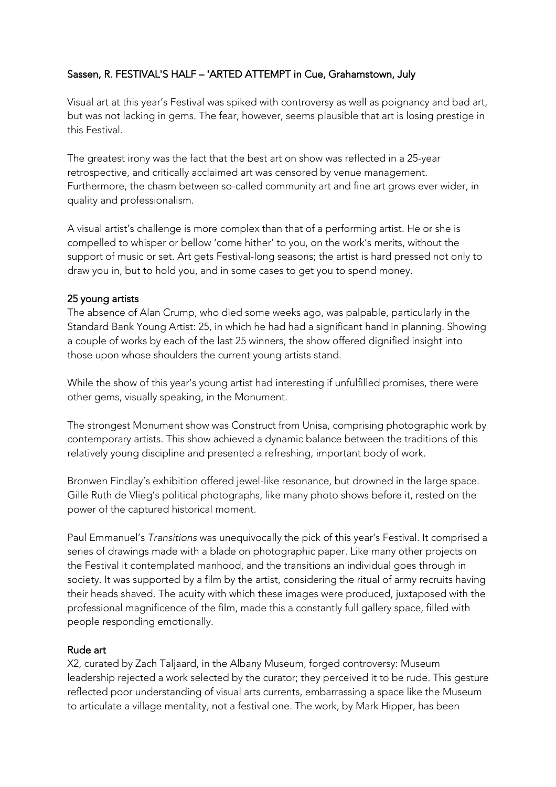## Sassen, R. FESTIVAL'S HALF – 'ARTED ATTEMPT in Cue, Grahamstown, July

Visual art at this year's Festival was spiked with controversy as well as poignancy and bad art, but was not lacking in gems. The fear, however, seems plausible that art is losing prestige in this Festival.

The greatest irony was the fact that the best art on show was reflected in a 25-year retrospective, and critically acclaimed art was censored by venue management. Furthermore, the chasm between so-called community art and fine art grows ever wider, in quality and professionalism.

A visual artist's challenge is more complex than that of a performing artist. He or she is compelled to whisper or bellow 'come hither' to you, on the work's merits, without the support of music or set. Art gets Festival-long seasons; the artist is hard pressed not only to draw you in, but to hold you, and in some cases to get you to spend money.

## 25 young artists

The absence of Alan Crump, who died some weeks ago, was palpable, particularly in the Standard Bank Young Artist: 25, in which he had had a significant hand in planning. Showing a couple of works by each of the last 25 winners, the show offered dignified insight into those upon whose shoulders the current young artists stand.

While the show of this year's young artist had interesting if unfulfilled promises, there were other gems, visually speaking, in the Monument.

The strongest Monument show was Construct from Unisa, comprising photographic work by contemporary artists. This show achieved a dynamic balance between the traditions of this relatively young discipline and presented a refreshing, important body of work.

Bronwen Findlay's exhibition offered jewel-like resonance, but drowned in the large space. Gille Ruth de Vlieg's political photographs, like many photo shows before it, rested on the power of the captured historical moment.

Paul Emmanuel's *Transitions* was unequivocally the pick of this year's Festival. It comprised a series of drawings made with a blade on photographic paper. Like many other projects on the Festival it contemplated manhood, and the transitions an individual goes through in society. It was supported by a film by the artist, considering the ritual of army recruits having their heads shaved. The acuity with which these images were produced, juxtaposed with the professional magnificence of the film, made this a constantly full gallery space, filled with people responding emotionally.

## Rude art

X2, curated by Zach Taljaard, in the Albany Museum, forged controversy: Museum leadership rejected a work selected by the curator; they perceived it to be rude. This gesture reflected poor understanding of visual arts currents, embarrassing a space like the Museum to articulate a village mentality, not a festival one. The work, by Mark Hipper, has been